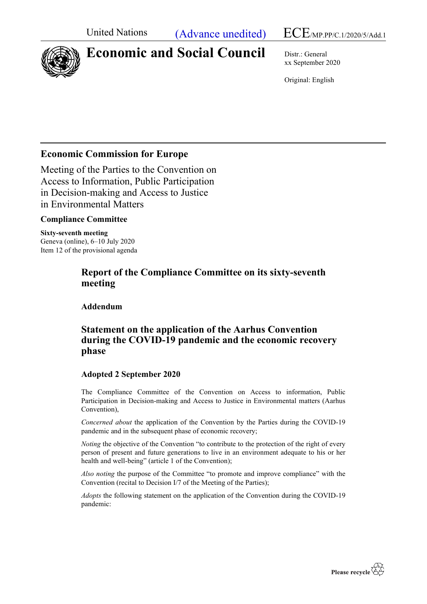United Nations (Advance unedited)  $ECE/MP.PPC.1/2020/5/Add.1$ 



# **Economic and Social Council** Distr.: General

xx September 2020

Original: English

# **Economic Commission for Europe**

Meeting of the Parties to the Convention on Access to Information, Public Participation in Decision-making and Access to Justice in Environmental Matters

## **Compliance Committee**

**Sixty-seventh meeting** Geneva (online), 6–10 July 2020 Item 12 of the provisional agenda

# **Report of the Compliance Committee on its sixty-seventh meeting**

**Addendum**

# **Statement on the application of the Aarhus Convention during the COVID-19 pandemic and the economic recovery phase**

## **Adopted 2 September 2020**

The Compliance Committee of the Convention on Access to information, Public Participation in Decision-making and Access to Justice in Environmental matters (Aarhus Convention),

*Concerned about* the application of the Convention by the Parties during the COVID-19 pandemic and in the subsequent phase of economic recovery;

*Noting* the objective of the Convention "to contribute to the protection of the right of every person of present and future generations to live in an environment adequate to his or her health and well-being" (article 1 of the Convention);

*Also noting* the purpose of the Committee "to promote and improve compliance" with the Convention (recital to Decision I/7 of the Meeting of the Parties);

*Adopts* the following statement on the application of the Convention during the COVID-19 pandemic: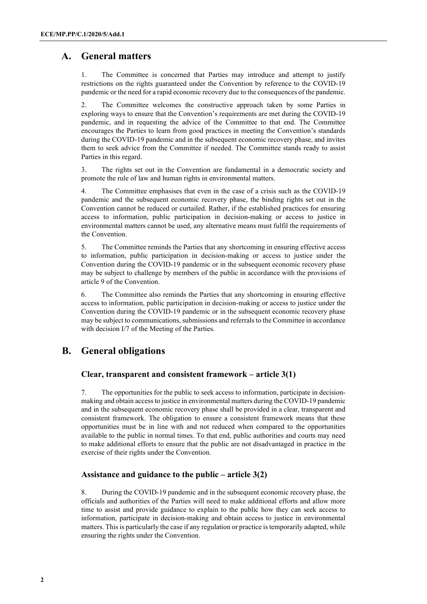# **A. General matters**

1. The Committee is concerned that Parties may introduce and attempt to justify restrictions on the rights guaranteed under the Convention by reference to the COVID-19 pandemic or the need for a rapid economic recovery due to the consequences of the pandemic.

2. The Committee welcomes the constructive approach taken by some Parties in exploring ways to ensure that the Convention's requirements are met during the COVID-19 pandemic, and in requesting the advice of the Committee to that end. The Committee encourages the Parties to learn from good practices in meeting the Convention's standards during the COVID-19 pandemic and in the subsequent economic recovery phase, and invites them to seek advice from the Committee if needed. The Committee stands ready to assist Parties in this regard.

3. The rights set out in the Convention are fundamental in a democratic society and promote the rule of law and human rights in environmental matters.

4. The Committee emphasises that even in the case of a crisis such as the COVID-19 pandemic and the subsequent economic recovery phase, the binding rights set out in the Convention cannot be reduced or curtailed. Rather, if the established practices for ensuring access to information, public participation in decision-making or access to justice in environmental matters cannot be used, any alternative means must fulfil the requirements of the Convention.

5. The Committee reminds the Parties that any shortcoming in ensuring effective access to information, public participation in decision-making or access to justice under the Convention during the COVID-19 pandemic or in the subsequent economic recovery phase may be subject to challenge by members of the public in accordance with the provisions of article 9 of the Convention.

6. The Committee also reminds the Parties that any shortcoming in ensuring effective access to information, public participation in decision-making or access to justice under the Convention during the COVID-19 pandemic or in the subsequent economic recovery phase may be subject to communications, submissions and referrals to the Committee in accordance with decision I/7 of the Meeting of the Parties.

# **B. General obligations**

## **Clear, transparent and consistent framework – article 3(1)**

7. The opportunities for the public to seek access to information, participate in decisionmaking and obtain access to justice in environmental matters during the COVID-19 pandemic and in the subsequent economic recovery phase shall be provided in a clear, transparent and consistent framework. The obligation to ensure a consistent framework means that these opportunities must be in line with and not reduced when compared to the opportunities available to the public in normal times. To that end, public authorities and courts may need to make additional efforts to ensure that the public are not disadvantaged in practice in the exercise of their rights under the Convention.

## **Assistance and guidance to the public – article 3(2)**

8. During the COVID-19 pandemic and in the subsequent economic recovery phase, the officials and authorities of the Parties will need to make additional efforts and allow more time to assist and provide guidance to explain to the public how they can seek access to information, participate in decision-making and obtain access to justice in environmental matters. This is particularly the case if any regulation or practice is temporarily adapted, while ensuring the rights under the Convention.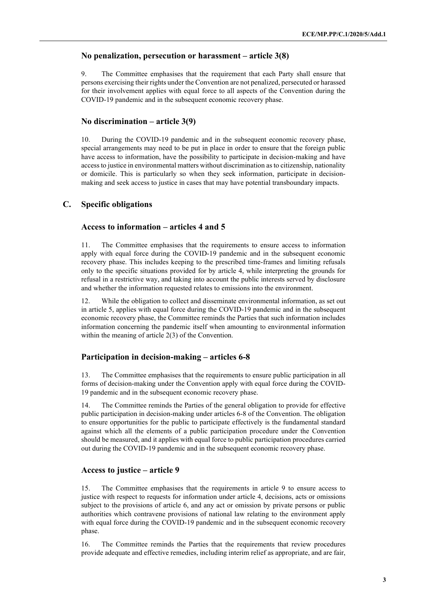#### **No penalization, persecution or harassment – article 3(8)**

9. The Committee emphasises that the requirement that each Party shall ensure that persons exercising their rights under the Convention are not penalized, persecuted or harassed for their involvement applies with equal force to all aspects of the Convention during the COVID-19 pandemic and in the subsequent economic recovery phase.

## **No discrimination – article 3(9)**

10. During the COVID-19 pandemic and in the subsequent economic recovery phase, special arrangements may need to be put in place in order to ensure that the foreign public have access to information, have the possibility to participate in decision-making and have access to justice in environmental matters without discrimination as to citizenship, nationality or domicile. This is particularly so when they seek information, participate in decisionmaking and seek access to justice in cases that may have potential transboundary impacts.

## **C. Specific obligations**

#### **Access to information – articles 4 and 5**

11. The Committee emphasises that the requirements to ensure access to information apply with equal force during the COVID-19 pandemic and in the subsequent economic recovery phase. This includes keeping to the prescribed time-frames and limiting refusals only to the specific situations provided for by article 4, while interpreting the grounds for refusal in a restrictive way, and taking into account the public interests served by disclosure and whether the information requested relates to emissions into the environment.

12. While the obligation to collect and disseminate environmental information, as set out in article 5, applies with equal force during the COVID-19 pandemic and in the subsequent economic recovery phase, the Committee reminds the Parties that such information includes information concerning the pandemic itself when amounting to environmental information within the meaning of article 2(3) of the Convention.

## **Participation in decision-making – articles 6-8**

13. The Committee emphasises that the requirements to ensure public participation in all forms of decision-making under the Convention apply with equal force during the COVID-19 pandemic and in the subsequent economic recovery phase.

14. The Committee reminds the Parties of the general obligation to provide for effective public participation in decision-making under articles 6-8 of the Convention. The obligation to ensure opportunities for the public to participate effectively is the fundamental standard against which all the elements of a public participation procedure under the Convention should be measured, and it applies with equal force to public participation procedures carried out during the COVID-19 pandemic and in the subsequent economic recovery phase.

## **Access to justice – article 9**

15. The Committee emphasises that the requirements in article 9 to ensure access to justice with respect to requests for information under article 4, decisions, acts or omissions subject to the provisions of article 6, and any act or omission by private persons or public authorities which contravene provisions of national law relating to the environment apply with equal force during the COVID-19 pandemic and in the subsequent economic recovery phase.

16. The Committee reminds the Parties that the requirements that review procedures provide adequate and effective remedies, including interim relief as appropriate, and are fair,